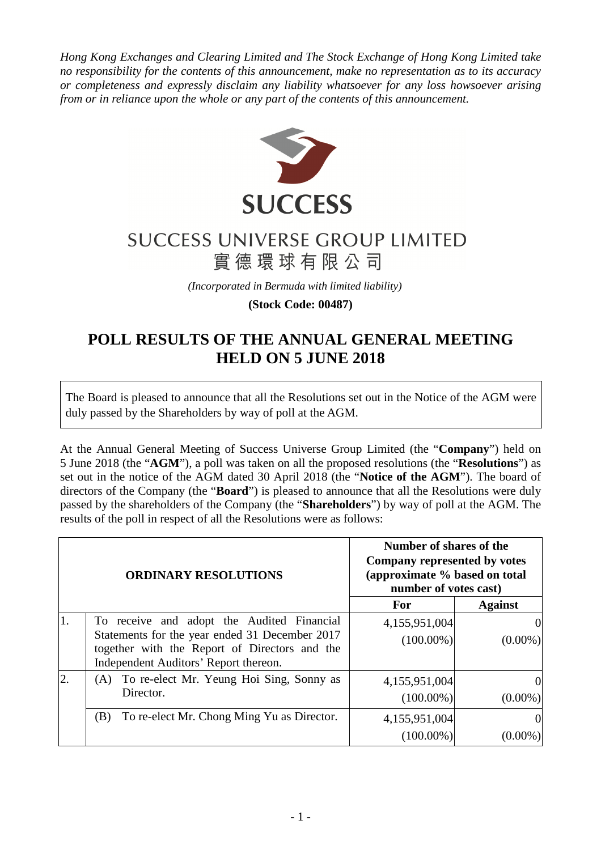*Hong Kong Exchanges and Clearing Limited and The Stock Exchange of Hong Kong Limited take no responsibility for the contents of this announcement, make no representation as to its accuracy or completeness and expressly disclaim any liability whatsoever for any loss howsoever arising from or in reliance upon the whole or any part of the contents of this announcement.* 



## **SUCCESS UNIVERSE GROUP LIMITED** 實德環球有限公司

*(Incorporated in Bermuda with limited liability)* 

**(Stock Code: 00487)** 

## **POLL RESULTS OF THE ANNUAL GENERAL MEETING HELD ON 5 JUNE 2018**

The Board is pleased to announce that all the Resolutions set out in the Notice of the AGM were duly passed by the Shareholders by way of poll at the AGM.

At the Annual General Meeting of Success Universe Group Limited (the "**Company**") held on 5 June 2018 (the "**AGM**"), a poll was taken on all the proposed resolutions (the "**Resolutions**") as set out in the notice of the AGM dated 30 April 2018 (the "**Notice of the AGM**"). The board of directors of the Company (the "**Board**") is pleased to announce that all the Resolutions were duly passed by the shareholders of the Company (the "**Shareholders**") by way of poll at the AGM. The results of the poll in respect of all the Resolutions were as follows:

| <b>ORDINARY RESOLUTIONS</b> |                                                                                                                                                                                        | Number of shares of the<br>Company represented by votes<br>(approximate % based on total<br>number of votes cast) |                        |
|-----------------------------|----------------------------------------------------------------------------------------------------------------------------------------------------------------------------------------|-------------------------------------------------------------------------------------------------------------------|------------------------|
|                             |                                                                                                                                                                                        | For                                                                                                               | <b>Against</b>         |
|                             | To receive and adopt the Audited Financial<br>Statements for the year ended 31 December 2017<br>together with the Report of Directors and the<br>Independent Auditors' Report thereon. | 4,155,951,004<br>$(100.00\%)$                                                                                     | $(0.00\%)$             |
| $\overline{2}$ .            | To re-elect Mr. Yeung Hoi Sing, Sonny as<br>(A)<br>Director.                                                                                                                           | 4,155,951,004<br>$(100.00\%)$                                                                                     | $\Omega$<br>$(0.00\%)$ |
|                             | To re-elect Mr. Chong Ming Yu as Director.<br>(B)                                                                                                                                      | 4,155,951,004<br>$(100.00\%)$                                                                                     |                        |